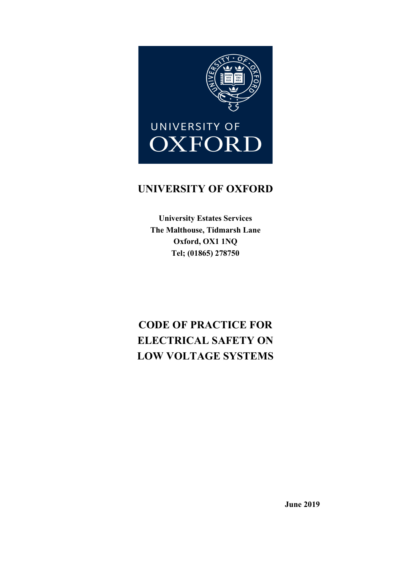

# UNIVERSITY OF OXFORD

University Estates Services The Malthouse, Tidmarsh Lane Oxford, OX1 1NQ Tel; (01865) 278750

# CODE OF PRACTICE FOR ELECTRICAL SAFETY ON LOW VOLTAGE SYSTEMS

June 2019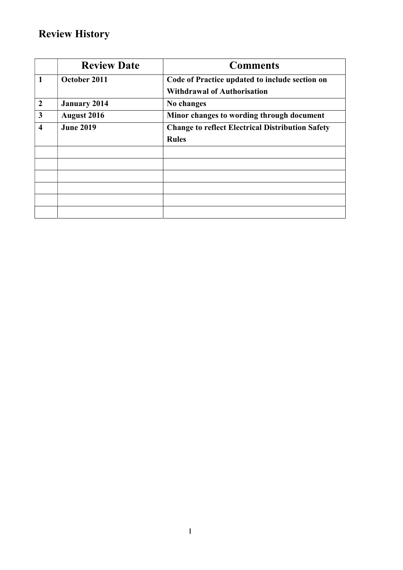# Review History

|                         | <b>Review Date</b>  | <b>Comments</b>                                         |
|-------------------------|---------------------|---------------------------------------------------------|
| 1                       | October 2011        | Code of Practice updated to include section on          |
|                         |                     | <b>Withdrawal of Authorisation</b>                      |
| $\overline{2}$          | <b>January 2014</b> | No changes                                              |
| $\mathbf{3}$            | <b>August 2016</b>  | Minor changes to wording through document               |
| $\overline{\mathbf{4}}$ | <b>June 2019</b>    | <b>Change to reflect Electrical Distribution Safety</b> |
|                         |                     | <b>Rules</b>                                            |
|                         |                     |                                                         |
|                         |                     |                                                         |
|                         |                     |                                                         |
|                         |                     |                                                         |
|                         |                     |                                                         |
|                         |                     |                                                         |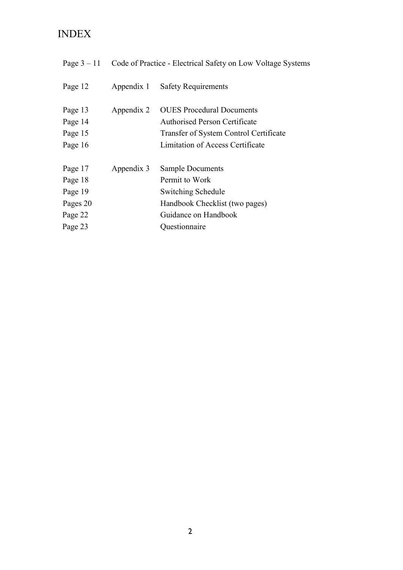# INDEX

| Page $3-11$                                                     | Code of Practice - Electrical Safety on Low Voltage Systems |                                                                                                                                                        |
|-----------------------------------------------------------------|-------------------------------------------------------------|--------------------------------------------------------------------------------------------------------------------------------------------------------|
| Page 12                                                         | Appendix 1                                                  | <b>Safety Requirements</b>                                                                                                                             |
| Page 13<br>Page 14<br>Page 15<br>Page 16                        | Appendix 2                                                  | <b>OUES</b> Procedural Documents<br><b>Authorised Person Certificate</b><br>Transfer of System Control Certificate<br>Limitation of Access Certificate |
| Page 17<br>Page 18<br>Page 19<br>Pages 20<br>Page 22<br>Page 23 | Appendix 3                                                  | <b>Sample Documents</b><br>Permit to Work<br>Switching Schedule<br>Handbook Checklist (two pages)<br>Guidance on Handbook<br>Questionnaire             |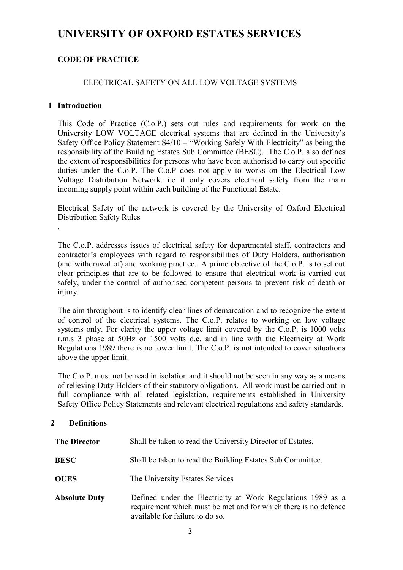# UNIVERSITY OF OXFORD ESTATES SERVICES

# CODE OF PRACTICE

# ELECTRICAL SAFETY ON ALL LOW VOLTAGE SYSTEMS

### 1 Introduction

.

This Code of Practice (C.o.P.) sets out rules and requirements for work on the University LOW VOLTAGE electrical systems that are defined in the University's Safety Office Policy Statement S4/10 – "Working Safely With Electricity" as being the responsibility of the Building Estates Sub Committee (BESC). The C.o.P. also defines the extent of responsibilities for persons who have been authorised to carry out specific duties under the C.o.P. The C.o.P does not apply to works on the Electrical Low Voltage Distribution Network. i.e it only covers electrical safety from the main incoming supply point within each building of the Functional Estate.

Electrical Safety of the network is covered by the University of Oxford Electrical Distribution Safety Rules

 injury. The C.o.P. addresses issues of electrical safety for departmental staff, contractors and contractor's employees with regard to responsibilities of Duty Holders, authorisation (and withdrawal of) and working practice. A prime objective of the C.o.P. is to set out clear principles that are to be followed to ensure that electrical work is carried out safely, under the control of authorised competent persons to prevent risk of death or

The aim throughout is to identify clear lines of demarcation and to recognize the extent of control of the electrical systems. The C.o.P. relates to working on low voltage systems only. For clarity the upper voltage limit covered by the C.o.P. is 1000 volts r.m.s 3 phase at 50Hz or 1500 volts d.c. and in line with the Electricity at Work Regulations 1989 there is no lower limit. The C.o.P. is not intended to cover situations above the upper limit.

The C.o.P. must not be read in isolation and it should not be seen in any way as a means of relieving Duty Holders of their statutory obligations. All work must be carried out in full compliance with all related legislation, requirements established in University Safety Office Policy Statements and relevant electrical regulations and safety standards.

# 2 Definitions

| <b>The Director</b>  | Shall be taken to read the University Director of Estates.                                                                                                        |
|----------------------|-------------------------------------------------------------------------------------------------------------------------------------------------------------------|
| <b>BESC</b>          | Shall be taken to read the Building Estates Sub Committee.                                                                                                        |
| <b>OUES</b>          | The University Estates Services                                                                                                                                   |
| <b>Absolute Duty</b> | Defined under the Electricity at Work Regulations 1989 as a<br>requirement which must be met and for which there is no defence<br>available for failure to do so. |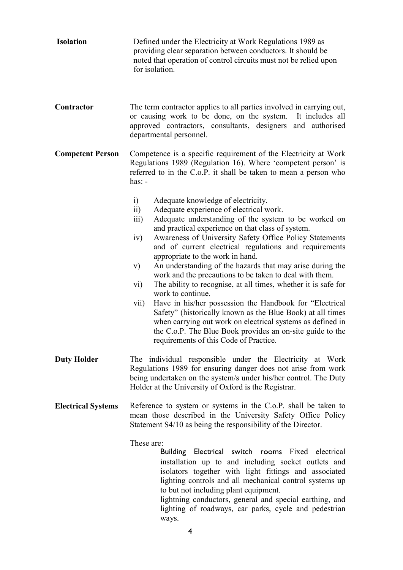| <b>Isolation</b>          | Defined under the Electricity at Work Regulations 1989 as<br>providing clear separation between conductors. It should be<br>noted that operation of control circuits must not be relied upon<br>for isolation.                                                                                                                                                                                                                                                                                                                                                                                                                                                                                                                                                                                                                                                                                                                                  |
|---------------------------|-------------------------------------------------------------------------------------------------------------------------------------------------------------------------------------------------------------------------------------------------------------------------------------------------------------------------------------------------------------------------------------------------------------------------------------------------------------------------------------------------------------------------------------------------------------------------------------------------------------------------------------------------------------------------------------------------------------------------------------------------------------------------------------------------------------------------------------------------------------------------------------------------------------------------------------------------|
| Contractor                | The term contractor applies to all parties involved in carrying out,<br>or causing work to be done, on the system.<br>It includes all<br>approved contractors, consultants, designers and authorised<br>departmental personnel.                                                                                                                                                                                                                                                                                                                                                                                                                                                                                                                                                                                                                                                                                                                 |
| <b>Competent Person</b>   | Competence is a specific requirement of the Electricity at Work<br>Regulations 1989 (Regulation 16). Where 'competent person' is<br>referred to in the C.o.P. it shall be taken to mean a person who<br>$has: -$                                                                                                                                                                                                                                                                                                                                                                                                                                                                                                                                                                                                                                                                                                                                |
|                           | i)<br>Adequate knowledge of electricity.<br>Adequate experience of electrical work.<br>$\overline{11}$<br>Adequate understanding of the system to be worked on<br>$\overline{111}$<br>and practical experience on that class of system.<br>Awareness of University Safety Office Policy Statements<br>iv)<br>and of current electrical regulations and requirements<br>appropriate to the work in hand.<br>An understanding of the hazards that may arise during the<br>V)<br>work and the precautions to be taken to deal with them.<br>The ability to recognise, at all times, whether it is safe for<br>$\rm vi)$<br>work to continue.<br>Have in his/her possession the Handbook for "Electrical<br>vii)<br>Safety" (historically known as the Blue Book) at all times<br>when carrying out work on electrical systems as defined in<br>the C.o.P. The Blue Book provides an on-site guide to the<br>requirements of this Code of Practice. |
| <b>Duty Holder</b>        | The individual responsible under the Electricity at Work<br>Regulations 1989 for ensuring danger does not arise from work<br>being undertaken on the system/s under his/her control. The Duty<br>Holder at the University of Oxford is the Registrar.                                                                                                                                                                                                                                                                                                                                                                                                                                                                                                                                                                                                                                                                                           |
| <b>Electrical Systems</b> | Reference to system or systems in the C.o.P. shall be taken to<br>mean those described in the University Safety Office Policy<br>Statement S4/10 as being the responsibility of the Director.                                                                                                                                                                                                                                                                                                                                                                                                                                                                                                                                                                                                                                                                                                                                                   |
|                           | These are:<br>Building Electrical switch rooms Fixed electrical<br>installation up to and including socket outlets and<br>isolators together with light fittings and associated<br>lighting controls and all mechanical control systems up<br>to but not including plant equipment.<br>lightning conductors, general and special earthing, and<br>lighting of roadways, car parks, cycle and pedestrian<br>ways.<br>4                                                                                                                                                                                                                                                                                                                                                                                                                                                                                                                           |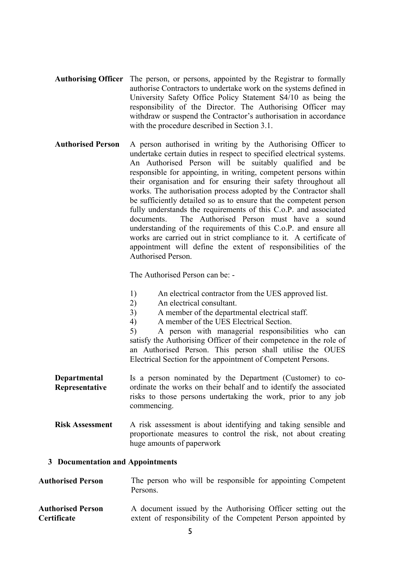- Authorising Officer The person, or persons, appointed by the Registrar to formally authorise Contractors to undertake work on the systems defined in University Safety Office Policy Statement S4/10 as being the responsibility of the Director. The Authorising Officer may withdraw or suspend the Contractor's authorisation in accordance with the procedure described in Section 3.1.
- Authorised Person A person authorised in writing by the Authorising Officer to undertake certain duties in respect to specified electrical systems. An Authorised Person will be suitably qualified and be responsible for appointing, in writing, competent persons within their organisation and for ensuring their safety throughout all works. The authorisation process adopted by the Contractor shall be sufficiently detailed so as to ensure that the competent person fully understands the requirements of this C.o.P. and associated documents. The Authorised Person must have a sound understanding of the requirements of this C.o.P. and ensure all works are carried out in strict compliance to it. A certificate of appointment will define the extent of responsibilities of the Authorised Person.

The Authorised Person can be: -

- 1) An electrical contractor from the UES approved list.
- 2) An electrical consultant.
- 3) A member of the departmental electrical staff.
- 4) A member of the UES Electrical Section.

5) A person with managerial responsibilities who can satisfy the Authorising Officer of their competence in the role of an Authorised Person. This person shall utilise the OUES Electrical Section for the appointment of Competent Persons.

- Departmental Representative Is a person nominated by the Department (Customer) to coordinate the works on their behalf and to identify the associated risks to those persons undertaking the work, prior to any job commencing.
- Risk Assessment A risk assessment is about identifying and taking sensible and proportionate measures to control the risk, not about creating huge amounts of paperwork

#### 3 Documentation and Appointments

- Authorised Person The person who will be responsible for appointing Competent Persons.
- Authorised Person **Certificate** A document issued by the Authorising Officer setting out the extent of responsibility of the Competent Person appointed by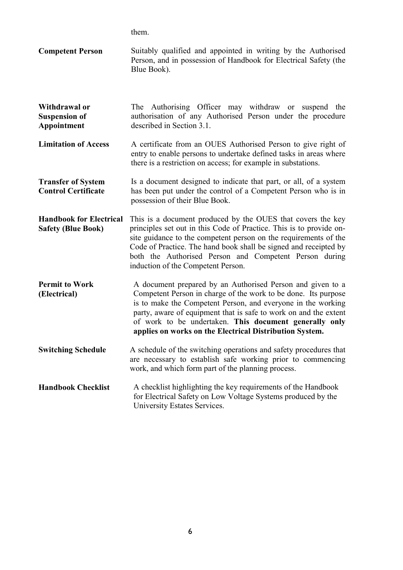them.

- Competent Person Suitably qualified and appointed in writing by the Authorised Person, and in possession of Handbook for Electrical Safety (the Blue Book).
- Withdrawal or Suspension of Appointment The Authorising Officer may withdraw or suspend the authorisation of any Authorised Person under the procedure described in Section 3.1.
- Limitation of Access A certificate from an OUES Authorised Person to give right of entry to enable persons to undertake defined tasks in areas where there is a restriction on access; for example in substations.
- Transfer of System Control Certificate Is a document designed to indicate that part, or all, of a system has been put under the control of a Competent Person who is in possession of their Blue Book.
- Handbook for Electrical Safety (Blue Book) This is a document produced by the OUES that covers the key principles set out in this Code of Practice. This is to provide onsite guidance to the competent person on the requirements of the Code of Practice. The hand book shall be signed and receipted by both the Authorised Person and Competent Person during induction of the Competent Person.
- Permit to Work (Electrical) A document prepared by an Authorised Person and given to a Competent Person in charge of the work to be done. Its purpose is to make the Competent Person, and everyone in the working party, aware of equipment that is safe to work on and the extent of work to be undertaken. This document generally only applies on works on the Electrical Distribution System.
- Switching Schedule A schedule of the switching operations and safety procedures that are necessary to establish safe working prior to commencing work, and which form part of the planning process.
- Handbook Checklist A checklist highlighting the key requirements of the Handbook for Electrical Safety on Low Voltage Systems produced by the University Estates Services.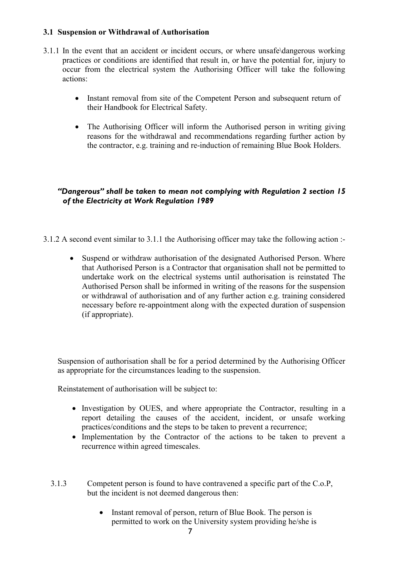# 3.1 Suspension or Withdrawal of Authorisation

- 3.1.1 In the event that an accident or incident occurs, or where unsafe\dangerous working practices or conditions are identified that result in, or have the potential for, injury to occur from the electrical system the Authorising Officer will take the following actions:
	- Instant removal from site of the Competent Person and subsequent return of their Handbook for Electrical Safety.
	- The Authorising Officer will inform the Authorised person in writing giving reasons for the withdrawal and recommendations regarding further action by the contractor, e.g. training and re-induction of remaining Blue Book Holders.

# "Dangerous" shall be taken to mean not complying with Regulation 2 section 15 of the Electricity at Work Regulation 1989

- 3.1.2 A second event similar to 3.1.1 the Authorising officer may take the following action :-
	- Suspend or withdraw authorisation of the designated Authorised Person. Where that Authorised Person is a Contractor that organisation shall not be permitted to undertake work on the electrical systems until authorisation is reinstated The Authorised Person shall be informed in writing of the reasons for the suspension or withdrawal of authorisation and of any further action e.g. training considered necessary before re-appointment along with the expected duration of suspension (if appropriate).

 as appropriate for the circumstances leading to the suspension. Suspension of authorisation shall be for a period determined by the Authorising Officer

Reinstatement of authorisation will be subject to:

- Investigation by OUES, and where appropriate the Contractor, resulting in a report detailing the causes of the accident, incident, or unsafe working practices/conditions and the steps to be taken to prevent a recurrence;
- Implementation by the Contractor of the actions to be taken to prevent a recurrence within agreed timescales.
- 3.1.3 Competent person is found to have contravened a specific part of the C.o.P, but the incident is not deemed dangerous then:
	- Instant removal of person, return of Blue Book. The person is permitted to work on the University system providing he/she is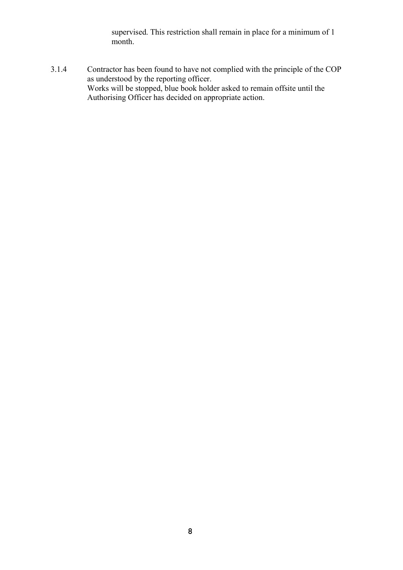supervised. This restriction shall remain in place for a minimum of 1 month.

3.1.4 Contractor has been found to have not complied with the principle of the COP as understood by the reporting officer. Works will be stopped, blue book holder asked to remain offsite until the Authorising Officer has decided on appropriate action.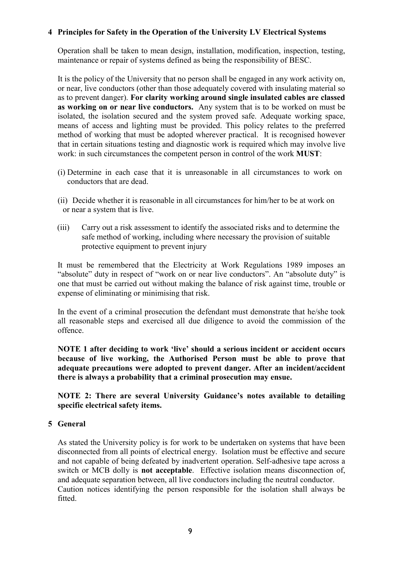### 4 Principles for Safety in the Operation of the University LV Electrical Systems

Operation shall be taken to mean design, installation, modification, inspection, testing, maintenance or repair of systems defined as being the responsibility of BESC.

It is the policy of the University that no person shall be engaged in any work activity on, or near, live conductors (other than those adequately covered with insulating material so as to prevent danger). For clarity working around single insulated cables are classed as working on or near live conductors. Any system that is to be worked on must be isolated, the isolation secured and the system proved safe. Adequate working space, means of access and lighting must be provided. This policy relates to the preferred method of working that must be adopted wherever practical. It is recognised however that in certain situations testing and diagnostic work is required which may involve live work: in such circumstances the competent person in control of the work MUST:

- (i) Determine in each case that it is unreasonable in all circumstances to work on conductors that are dead.
- (ii) Decide whether it is reasonable in all circumstances for him/her to be at work on or near a system that is live.
- (iii) Carry out a risk assessment to identify the associated risks and to determine the safe method of working, including where necessary the provision of suitable protective equipment to prevent injury

It must be remembered that the Electricity at Work Regulations 1989 imposes an "absolute" duty in respect of "work on or near live conductors". An "absolute duty" is one that must be carried out without making the balance of risk against time, trouble or expense of eliminating or minimising that risk.

In the event of a criminal prosecution the defendant must demonstrate that he/she took all reasonable steps and exercised all due diligence to avoid the commission of the offence.

 there is always a probability that a criminal prosecution may ensue. NOTE 1 after deciding to work 'live' should a serious incident or accident occurs because of live working, the Authorised Person must be able to prove that adequate precautions were adopted to prevent danger. After an incident/accident

NOTE 2: There are several University Guidance's notes available to detailing specific electrical safety items.

#### 5 General

 fitted.As stated the University policy is for work to be undertaken on systems that have been disconnected from all points of electrical energy. Isolation must be effective and secure and not capable of being defeated by inadvertent operation. Self-adhesive tape across a switch or MCB dolly is not acceptable. Effective isolation means disconnection of, and adequate separation between, all live conductors including the neutral conductor. Caution notices identifying the person responsible for the isolation shall always be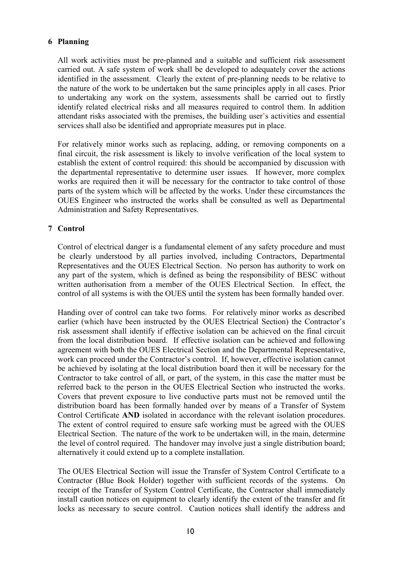# 6 Planning

All work activities must be pre-planned and a suitable and sufficient risk assessment carried out. A safe system of work shall be developed to adequately cover the actions identified in the assessment. Clearly the extent of pre-planning needs to be relative to the nature of the work to be undertaken but the same principles apply in all cases. Prior to undertaking any work on the system, assessments shall be carried out to firstly identify related electrical risks and all measures required to control them. In addition attendant risks associated with the premises, the building user's activities and essential services shall also be identified and appropriate measures put in place.

For relatively minor works such as replacing, adding, or removing components on a final circuit, the risk assessment is likely to involve verification of the local system to establish the extent of control required: this should be accompanied by discussion with the departmental representative to determine user issues. If however, more complex works are required then it will be necessary for the contractor to take control of those parts of the system which will be affected by the works. Under these circumstances the OUES Engineer who instructed the works shall be consulted as well as Departmental Administration and Safety Representatives.

### 7 Control

Control of electrical danger is a fundamental element of any safety procedure and must be clearly understood by all parties involved, including Contractors, Departmental Representatives and the OUES Electrical Section. No person has authority to work on any part of the system, which is defined as being the responsibility of BESC without written authorisation from a member of the OUES Electrical Section. In effect, the control of all systems is with the OUES until the system has been formally handed over.

Handing over of control can take two forms. For relatively minor works as described earlier (which have been instructed by the OUES Electrical Section) the Contractor's risk assessment shall identify if effective isolation can be achieved on the final circuit from the local distribution board. If effective isolation can be achieved and following agreement with both the OUES Electrical Section and the Departmental Representative, work can proceed under the Contractor's control. If, however, effective isolation cannot be achieved by isolating at the local distribution board then it will be necessary for the Contractor to take control of all, or part, of the system, in this case the matter must be referred back to the person in the OUES Electrical Section who instructed the works. Covers that prevent exposure to live conductive parts must not be removed until the distribution board has been formally handed over by means of a Transfer of System Control Certificate AND isolated in accordance with the relevant isolation procedures. The extent of control required to ensure safe working must be agreed with the OUES Electrical Section. The nature of the work to be undertaken will, in the main, determine the level of control required. The handover may involve just a single distribution board; alternatively it could extend up to a complete installation.

 locks as necessary to secure control. Caution notices shall identify the address andThe OUES Electrical Section will issue the Transfer of System Control Certificate to a Contractor (Blue Book Holder) together with sufficient records of the systems. On receipt of the Transfer of System Control Certificate, the Contractor shall immediately install caution notices on equipment to clearly identify the extent of the transfer and fit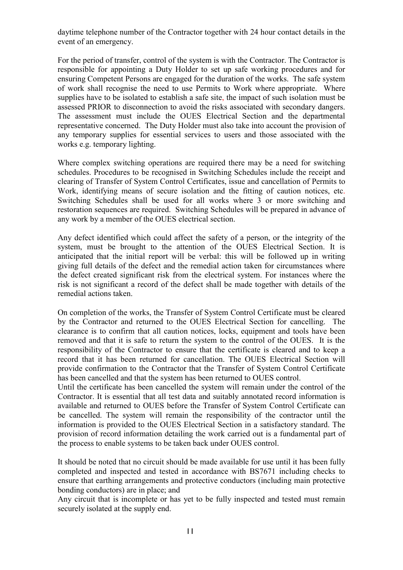daytime telephone number of the Contractor together with 24 hour contact details in the event of an emergency.

For the period of transfer, control of the system is with the Contractor. The Contractor is responsible for appointing a Duty Holder to set up safe working procedures and for ensuring Competent Persons are engaged for the duration of the works. The safe system of work shall recognise the need to use Permits to Work where appropriate. Where supplies have to be isolated to establish a safe site, the impact of such isolation must be assessed PRIOR to disconnection to avoid the risks associated with secondary dangers. The assessment must include the OUES Electrical Section and the departmental representative concerned. The Duty Holder must also take into account the provision of any temporary supplies for essential services to users and those associated with the works e.g. temporary lighting.

Where complex switching operations are required there may be a need for switching schedules. Procedures to be recognised in Switching Schedules include the receipt and clearing of Transfer of System Control Certificates, issue and cancellation of Permits to Work, identifying means of secure isolation and the fitting of caution notices, etc. Switching Schedules shall be used for all works where 3 or more switching and restoration sequences are required. Switching Schedules will be prepared in advance of any work by a member of the OUES electrical section.

Any defect identified which could affect the safety of a person, or the integrity of the system, must be brought to the attention of the OUES Electrical Section. It is anticipated that the initial report will be verbal: this will be followed up in writing giving full details of the defect and the remedial action taken for circumstances where the defect created significant risk from the electrical system. For instances where the risk is not significant a record of the defect shall be made together with details of the remedial actions taken.

On completion of the works, the Transfer of System Control Certificate must be cleared by the Contractor and returned to the OUES Electrical Section for cancelling. The clearance is to confirm that all caution notices, locks, equipment and tools have been removed and that it is safe to return the system to the control of the OUES. It is the responsibility of the Contractor to ensure that the certificate is cleared and to keep a record that it has been returned for cancellation. The OUES Electrical Section will provide confirmation to the Contractor that the Transfer of System Control Certificate has been cancelled and that the system has been returned to OUES control.

Until the certificate has been cancelled the system will remain under the control of the Contractor. It is essential that all test data and suitably annotated record information is available and returned to OUES before the Transfer of System Control Certificate can be cancelled. The system will remain the responsibility of the contractor until the information is provided to the OUES Electrical Section in a satisfactory standard. The provision of record information detailing the work carried out is a fundamental part of the process to enable systems to be taken back under OUES control.

It should be noted that no circuit should be made available for use until it has been fully completed and inspected and tested in accordance with BS7671 including checks to ensure that earthing arrangements and protective conductors (including main protective bonding conductors) are in place; and

Any circuit that is incomplete or has yet to be fully inspected and tested must remain securely isolated at the supply end.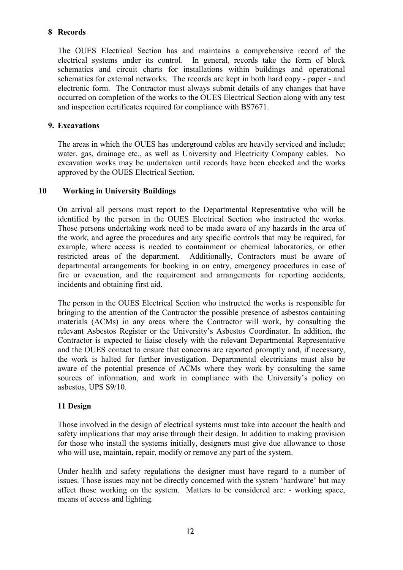# 8 Records

The OUES Electrical Section has and maintains a comprehensive record of the electrical systems under its control. In general, records take the form of block schematics and circuit charts for installations within buildings and operational schematics for external networks. The records are kept in both hard copy - paper - and electronic form. The Contractor must always submit details of any changes that have occurred on completion of the works to the OUES Electrical Section along with any test and inspection certificates required for compliance with BS7671.

# 9. Excavations

 approved by the OUES Electrical Section. The areas in which the OUES has underground cables are heavily serviced and include; water, gas, drainage etc., as well as University and Electricity Company cables. No excavation works may be undertaken until records have been checked and the works

# 10 Working in University Buildings

 incidents and obtaining first aid. On arrival all persons must report to the Departmental Representative who will be identified by the person in the OUES Electrical Section who instructed the works. Those persons undertaking work need to be made aware of any hazards in the area of the work, and agree the procedures and any specific controls that may be required, for example, where access is needed to containment or chemical laboratories, or other restricted areas of the department. Additionally, Contractors must be aware of departmental arrangements for booking in on entry, emergency procedures in case of fire or evacuation, and the requirement and arrangements for reporting accidents,

The person in the OUES Electrical Section who instructed the works is responsible for bringing to the attention of the Contractor the possible presence of asbestos containing materials (ACMs) in any areas where the Contractor will work, by consulting the relevant Asbestos Register or the University's Asbestos Coordinator. In addition, the Contractor is expected to liaise closely with the relevant Departmental Representative and the OUES contact to ensure that concerns are reported promptly and, if necessary, the work is halted for further investigation. Departmental electricians must also be aware of the potential presence of ACMs where they work by consulting the same sources of information, and work in compliance with the University's policy on asbestos, UPS S9/10.

# 11 Design

Those involved in the design of electrical systems must take into account the health and safety implications that may arise through their design. In addition to making provision for those who install the systems initially, designers must give due allowance to those who will use, maintain, repair, modify or remove any part of the system.

Under health and safety regulations the designer must have regard to a number of issues. Those issues may not be directly concerned with the system 'hardware' but may affect those working on the system. Matters to be considered are: - working space, means of access and lighting.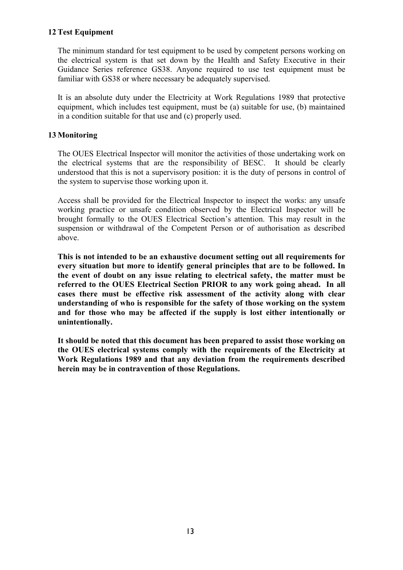# 12 Test Equipment

The minimum standard for test equipment to be used by competent persons working on the electrical system is that set down by the Health and Safety Executive in their Guidance Series reference GS38. Anyone required to use test equipment must be familiar with GS38 or where necessary be adequately supervised.

It is an absolute duty under the Electricity at Work Regulations 1989 that protective equipment, which includes test equipment, must be (a) suitable for use, (b) maintained in a condition suitable for that use and (c) properly used.

# 13 Monitoring

The OUES Electrical Inspector will monitor the activities of those undertaking work on the electrical systems that are the responsibility of BESC. It should be clearly understood that this is not a supervisory position: it is the duty of persons in control of the system to supervise those working upon it.

Access shall be provided for the Electrical Inspector to inspect the works: any unsafe working practice or unsafe condition observed by the Electrical Inspector will be brought formally to the OUES Electrical Section's attention. This may result in the suspension or withdrawal of the Competent Person or of authorisation as described above.

 unintentionally. This is not intended to be an exhaustive document setting out all requirements for every situation but more to identify general principles that are to be followed. In the event of doubt on any issue relating to electrical safety, the matter must be referred to the OUES Electrical Section PRIOR to any work going ahead. In all cases there must be effective risk assessment of the activity along with clear understanding of who is responsible for the safety of those working on the system and for those who may be affected if the supply is lost either intentionally or

It should be noted that this document has been prepared to assist those working on the OUES electrical systems comply with the requirements of the Electricity at Work Regulations 1989 and that any deviation from the requirements described herein may be in contravention of those Regulations.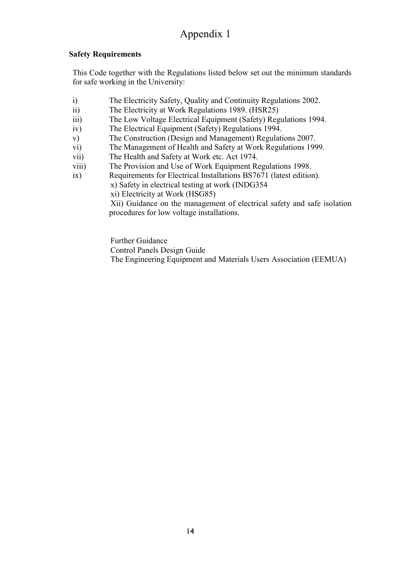# Appendix 1

# Safety Requirements

This Code together with the Regulations listed below set out the minimum standards for safe working in the University:

- i) The Electricity Safety, Quality and Continuity Regulations 2002.
- ii) The Electricity at Work Regulations 1989. (HSR25)
- iii) The Low Voltage Electrical Equipment (Safety) Regulations 1994.
- iv) The Electrical Equipment (Safety) Regulations 1994.
- v) The Construction (Design and Management) Regulations 2007.
- vi) The Management of Health and Safety at Work Regulations 1999.
- vii) The Health and Safety at Work etc. Act 1974.
- viii) The Provision and Use of Work Equipment Regulations 1998.
- ix) Requirements for Electrical Installations BS7671 (latest edition).
	- x) Safety in electrical testing at work (INDG354
		- xi) Electricity at Work (HSG85)

Xii) Guidance on the management of electrical safety and safe isolation procedures for low voltage installations.

Further Guidance

Control Panels Design Guide The Engineering Equipment and Materials Users Association (EEMUA)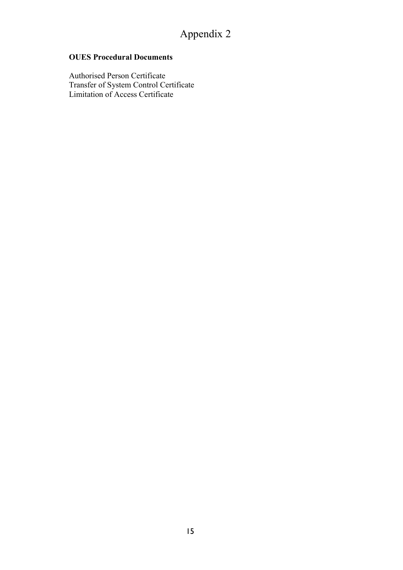# OUES Procedural Documents

Authorised Person Certificate Transfer of System Control Certificate Limitation of Access Certificate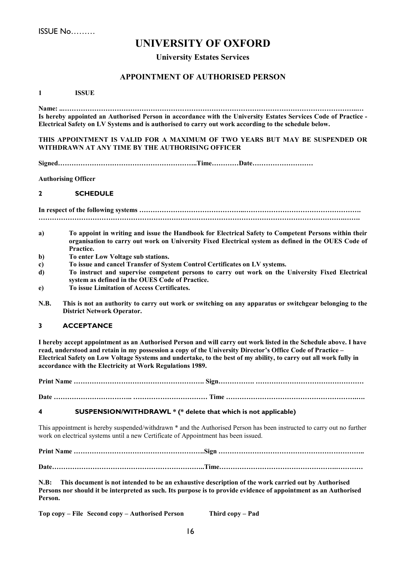# UNIVERSITY OF OXFORD

#### University Estates Services

#### APPOINTMENT OF AUTHORISED PERSON

1 ISSUE

..…………………………………………………………………………………………………………………..… Name: Is hereby appointed an Authorised Person in accordance with the University Estates Services Code of Practice - Electrical Safety on LV Systems and is authorised to carry out work according to the schedule below.

#### THIS APPOINTMENT IS VALID FOR A MAXIMUM OF TWO YEARS BUT MAY BE SUSPENDED OR WITHDRAWN AT ANY TIME BY THE AUTHORISING OFFICER

……………………………………………………. ………… …………………… Signed .Time Date…

Authorising Officer

#### 2 SCHEDULE

 ………………………………………..……………………………………………. In respect of the following systems ……………………………………………………………………………………………………………………….…….

- a) To appoint in writing and issue the Handbook for Electrical Safety to Competent Persons within their organisation to carry out work on University Fixed Electrical system as defined in the OUES Code of Practice.
- b) To enter Low Voltage sub stations.
- c) To issue and cancel Transfer of System Control Certificates on LV systems.
- d) To instruct and supervise competent persons to carry out work on the University Fixed Electrical system as defined in the OUES Code of Practice.
- e) To issue Limitation of Access Certificates.
- N.B. This is not an authority to carry out work or switching on any apparatus or switchgear belonging to the District Network Operator.

#### 3 ACCEPTANCE

I hereby accept appointment as an Authorised Person and will carry out work listed in the Schedule above. I have read, understood and retain in my possession a copy of the University Director's Office Code of Practice – Electrical Safety on Low Voltage Systems and undertake, to the best of my ability, to carry out all work fully in accordance with the Electricity at Work Regulations 1989.

…………………………………………………. …………. ………………………………………… Print Name Sign…

…………………………….. …………………………… ………………………………………………….…. Date Time

#### 4 SUSPENSION/WITHDRAWL \* (\* delete that which is not applicable)

This appointment is hereby suspended/withdrawn \* and the Authorised Person has been instructed to carry out no further work on electrical systems until a new Certificate of Appointment has been issued.

 …………………………………………………. ………………………………………………………. Print Name Sign . …………………………………………………………. ………………………………………….………… Date .Time…

 N.B: This document is not intended to be an exhaustive description of the work carried out by Authorised Persons nor should it be interpreted as such. Its purpose is to provide evidence of appointment as an Authorised Person.

Top copy – File Second copy – Authorised Person Third copy – Pad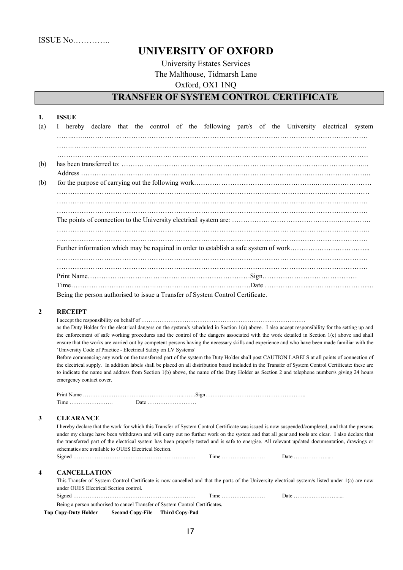# UNIVERSITY OF OXFORD

University Estates Services The Malthouse, Tidmarsh Lane Oxford, OX1 1NQ

# TRANSFER OF SYSTEM CONTROL CERTIFICATE

|     | <b>ISSUE</b>                                                                                  |
|-----|-----------------------------------------------------------------------------------------------|
| (a) | I hereby declare that the control of the following part/s of the University electrical system |
|     |                                                                                               |
|     |                                                                                               |
|     |                                                                                               |
| (b) |                                                                                               |
|     |                                                                                               |
| (b) |                                                                                               |
|     |                                                                                               |
|     |                                                                                               |
|     |                                                                                               |
|     |                                                                                               |
|     |                                                                                               |
|     |                                                                                               |
|     |                                                                                               |
|     |                                                                                               |
|     |                                                                                               |
|     |                                                                                               |
|     |                                                                                               |
|     | Being the person authorised to issue a Transfer of System Control Certificate.                |

#### 2 RECEIPT

………………………………………………………………………………. I accept the responsibility on behalf of

as the Duty Holder for the electrical dangers on the system/s scheduled in Section 1(a) above. I also accept responsibility for the setting up and the enforcement of safe working procedures and the control of the dangers associated with the work detailed in Section 1(c) above and shall ensure that the works are carried out by competent persons having the necessary skills and experience and who have been made familiar with the 'University Code of Practice - Electrical Safety on LV Systems'

Before commencing any work on the transferred part of the system the Duty Holder shall post CAUTION LABELS at all points of connection of the electrical supply. In addition labels shall be placed on all distribution board included in the Transfer of System Control Certificate: these are to indicate the name and address from Section 1(b) above, the name of the Duty Holder as Section 2 and telephone number/s giving 24 hours emergency contact cover.

| Print Name           |   |
|----------------------|---|
| cran i<br>l'ime<br>. | . |

#### 3 CLEARANCE

 ………………………….………………………………. …………………… ………………..... Signed Time Date I hereby declare that the work for which this Transfer of System Control Certificate was issued is now suspended/completed, and that the persons under my charge have been withdrawn and will carry out no further work on the system and that all gear and tools are clear. I also declare that the transferred part of the electrical system has been properly tested and is safe to energise. All relevant updated documentation, drawings or schematics are available to OUES Electrical Section.

#### 4 CANCELLATION

………………………….………………………………. …………………… …………………….... Signed Time Date . This Transfer of System Control Certificate is now cancelled and that the parts of the University electrical system/s listed under 1(a) are now under OUES Electrical Section control. Being a person authorised to cancel Transfer of System Control Certificates.

Top Copy-Duty Holder Second Copy-File Third Copy-Pad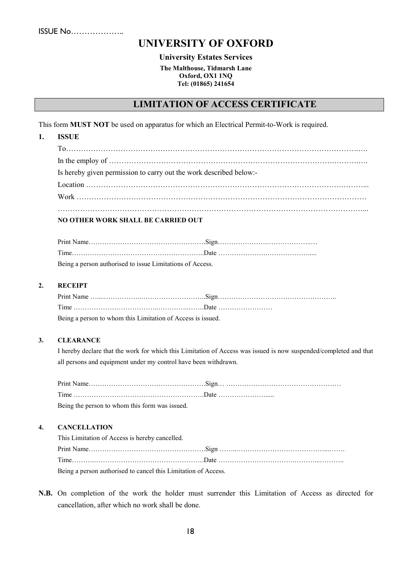ISSUE No… ……………..

# UNIVERSITY OF OXFORD

#### University Estates Services

The Malthouse, Tidmarsh Lane Oxford, OX1 1NQ Tel: (01865) 241654

# LIMITATION OF ACCESS CERTIFICATE

This form MUST NOT be used on apparatus for which an Electrical Permit-to-Work is required.

| <b>ISSUE</b>                                                       |
|--------------------------------------------------------------------|
|                                                                    |
|                                                                    |
| Is hereby given permission to carry out the work described below:- |
|                                                                    |
|                                                                    |

| Being a person authorised to issue Limitations of Access. |  |
|-----------------------------------------------------------|--|

#### 2. RECEIPT

| Being a person to whom this Limitation of Access is issued. |  |
|-------------------------------------------------------------|--|

#### 3. CLEARANCE

I hereby declare that the work for which this Limitation of Access was issued is now suspended/completed and that all persons and equipment under my control have been withdrawn.

| Being the person to whom this form was issued. |  |
|------------------------------------------------|--|

#### 4. CANCELLATION

| This Limitation of Access is hereby cancelled.                 |  |
|----------------------------------------------------------------|--|
|                                                                |  |
|                                                                |  |
| Being a person authorised to cancel this Limitation of Access. |  |

N.B. On completion of the work the holder must surrender this Limitation of Access as directed for cancellation, after which no work shall be done.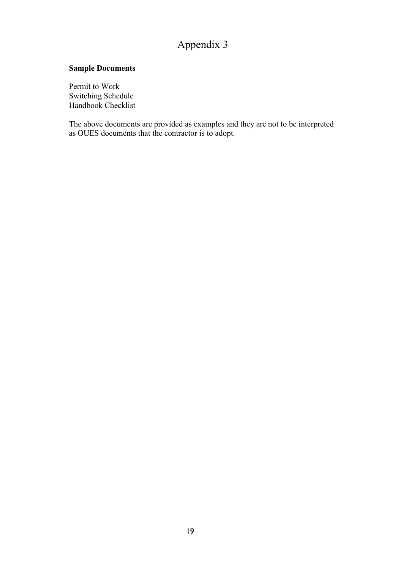# Appendix 3

# Sample Documents

Permit to Work Switching Schedule Handbook Checklist

The above documents are provided as examples and they are not to be interpreted as OUES documents that the contractor is to adopt.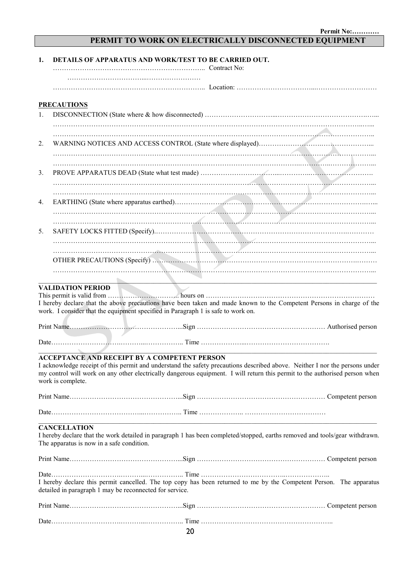# PERMIT TO WORK ON ELECTRICALLY DISCONNECTED EQUIPMENT

| 1. | DETAILS OF APPARATUS AND WORK/TEST TO BE CARRIED OUT.                                                                                                                                                                                                                                                                                  |
|----|----------------------------------------------------------------------------------------------------------------------------------------------------------------------------------------------------------------------------------------------------------------------------------------------------------------------------------------|
|    |                                                                                                                                                                                                                                                                                                                                        |
|    | <b>PRECAUTIONS</b>                                                                                                                                                                                                                                                                                                                     |
| 1. |                                                                                                                                                                                                                                                                                                                                        |
|    |                                                                                                                                                                                                                                                                                                                                        |
| 2. |                                                                                                                                                                                                                                                                                                                                        |
|    |                                                                                                                                                                                                                                                                                                                                        |
| 3. |                                                                                                                                                                                                                                                                                                                                        |
| 4. |                                                                                                                                                                                                                                                                                                                                        |
|    |                                                                                                                                                                                                                                                                                                                                        |
|    |                                                                                                                                                                                                                                                                                                                                        |
| 5. |                                                                                                                                                                                                                                                                                                                                        |
|    |                                                                                                                                                                                                                                                                                                                                        |
|    |                                                                                                                                                                                                                                                                                                                                        |
|    |                                                                                                                                                                                                                                                                                                                                        |
|    | <u> 1989 - Johann John Stone, mars et al. 1989 - John Stone, mars et al. 1989 - John Stone, mars et al. 1989 - John Stone</u><br><b>VALIDATION PERIOD</b>                                                                                                                                                                              |
|    | I hereby declare that the above precautions have been taken and made known to the Competent Persons in charge of the<br>work. I consider that the equipment specified in Paragraph 1 is safe to work on.                                                                                                                               |
|    |                                                                                                                                                                                                                                                                                                                                        |
|    |                                                                                                                                                                                                                                                                                                                                        |
|    | <b>ACCEPTANCE AND RECEIPT BY A COMPETENT PERSON</b><br>I acknowledge receipt of this permit and understand the safety precautions described above. Neither I nor the persons under<br>my control will work on any other electrically dangerous equipment. I will return this permit to the authorised person when<br>work is complete. |
|    |                                                                                                                                                                                                                                                                                                                                        |
|    |                                                                                                                                                                                                                                                                                                                                        |
|    | <b>CANCELLATION</b><br>I hereby declare that the work detailed in paragraph 1 has been completed/stopped, earths removed and tools/gear withdrawn.<br>The apparatus is now in a safe condition.                                                                                                                                        |
|    |                                                                                                                                                                                                                                                                                                                                        |
|    | I hereby declare this permit cancelled. The top copy has been returned to me by the Competent Person. The apparatus<br>detailed in paragraph 1 may be reconnected for service.                                                                                                                                                         |
|    |                                                                                                                                                                                                                                                                                                                                        |
|    |                                                                                                                                                                                                                                                                                                                                        |
|    | 20                                                                                                                                                                                                                                                                                                                                     |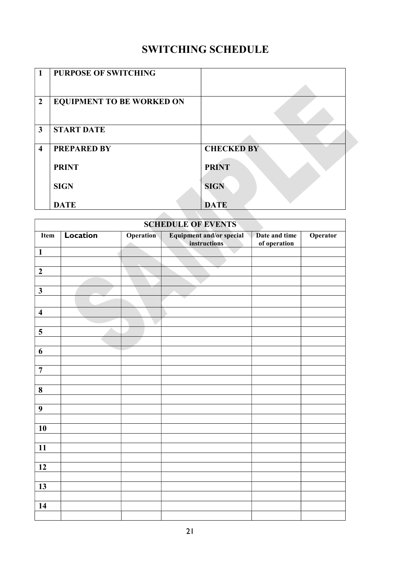# SWITCHING SCHEDULE

| $\mathbf{1}$            | <b>PURPOSE OF SWITCHING</b>      |                   |  |
|-------------------------|----------------------------------|-------------------|--|
|                         |                                  |                   |  |
| $\overline{2}$          | <b>EQUIPMENT TO BE WORKED ON</b> |                   |  |
|                         |                                  |                   |  |
| $\overline{\mathbf{3}}$ | <b>START DATE</b>                |                   |  |
|                         |                                  |                   |  |
| $\overline{\mathbf{4}}$ | <b>PREPARED BY</b>               | <b>CHECKED BY</b> |  |
|                         |                                  |                   |  |
|                         | <b>PRINT</b>                     | <b>PRINT</b>      |  |
|                         |                                  |                   |  |
|                         | <b>SIGN</b>                      | <b>SIGN</b>       |  |
|                         | <b>DATE</b>                      | <b>DATE</b>       |  |
|                         |                                  |                   |  |

| <b>SCHEDULE OF EVENTS</b> |                 |                          |                                                  |                               |          |
|---------------------------|-----------------|--------------------------|--------------------------------------------------|-------------------------------|----------|
| Item                      | <b>Location</b> | <b>Operation</b><br>a ka | <b>Equipment and/or special<br/>instructions</b> | Date and time<br>of operation | Operator |
| $\mathbf{1}$              |                 |                          |                                                  |                               |          |
|                           |                 |                          |                                                  |                               |          |
| $\mathbf 2$               |                 |                          |                                                  |                               |          |
|                           |                 |                          |                                                  |                               |          |
| $\mathbf{3}$              |                 |                          |                                                  |                               |          |
|                           |                 |                          |                                                  |                               |          |
| $\overline{\mathbf{4}}$   |                 |                          |                                                  |                               |          |
|                           |                 |                          |                                                  |                               |          |
| 5                         |                 |                          |                                                  |                               |          |
|                           |                 |                          |                                                  |                               |          |
| 6                         |                 |                          |                                                  |                               |          |
|                           |                 |                          |                                                  |                               |          |
| $\overline{7}$            |                 |                          |                                                  |                               |          |
|                           |                 |                          |                                                  |                               |          |
| $\bf{8}$                  |                 |                          |                                                  |                               |          |
| $\boldsymbol{9}$          |                 |                          |                                                  |                               |          |
|                           |                 |                          |                                                  |                               |          |
| 10                        |                 |                          |                                                  |                               |          |
|                           |                 |                          |                                                  |                               |          |
| 11                        |                 |                          |                                                  |                               |          |
|                           |                 |                          |                                                  |                               |          |
| $\overline{12}$           |                 |                          |                                                  |                               |          |
|                           |                 |                          |                                                  |                               |          |
| 13                        |                 |                          |                                                  |                               |          |
|                           |                 |                          |                                                  |                               |          |
| 14                        |                 |                          |                                                  |                               |          |
|                           |                 |                          |                                                  |                               |          |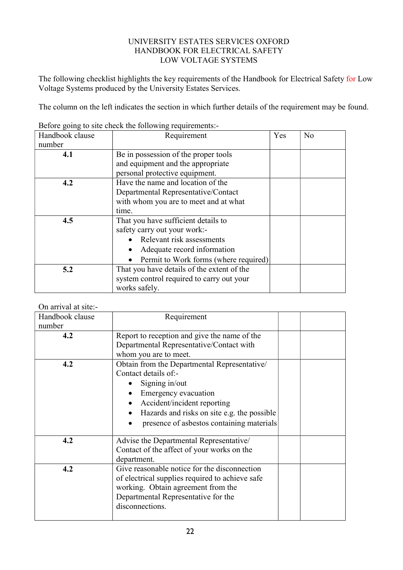# UNIVERSITY ESTATES SERVICES OXFORD HANDBOOK FOR ELECTRICAL SAFETY LOW VOLTAGE SYSTEMS

The following checklist highlights the key requirements of the Handbook for Electrical Safety for Low Voltage Systems produced by the University Estates Services.

The column on the left indicates the section in which further details of the requirement may be found.

| Handbook clause | Requirement                                | Yes | No |
|-----------------|--------------------------------------------|-----|----|
| number          |                                            |     |    |
| 4.1             | Be in possession of the proper tools       |     |    |
|                 | and equipment and the appropriate          |     |    |
|                 | personal protective equipment.             |     |    |
| 4.2             | Have the name and location of the          |     |    |
|                 | Departmental Representative/Contact        |     |    |
|                 | with whom you are to meet and at what      |     |    |
|                 | time.                                      |     |    |
| 4.5             | That you have sufficient details to        |     |    |
|                 | safety carry out your work:-               |     |    |
|                 | • Relevant risk assessments                |     |    |
|                 | Adequate record information                |     |    |
|                 | Permit to Work forms (where required)      |     |    |
| 5.2             | That you have details of the extent of the |     |    |
|                 | system control required to carry out your  |     |    |
|                 | works safely.                              |     |    |

Before going to site check the following requirements:-

# On arrival at site:-

| Handbook clause | Requirement                                     |  |
|-----------------|-------------------------------------------------|--|
| number          |                                                 |  |
| 4.2             | Report to reception and give the name of the    |  |
|                 | Departmental Representative/Contact with        |  |
|                 | whom you are to meet.                           |  |
| 4.2             | Obtain from the Departmental Representative/    |  |
|                 | Contact details of:-                            |  |
|                 | Signing in/out                                  |  |
|                 | Emergency evacuation                            |  |
|                 | Accident/incident reporting                     |  |
|                 | Hazards and risks on site e.g. the possible     |  |
|                 | presence of asbestos containing materials       |  |
| 4.2             | Advise the Departmental Representative/         |  |
|                 | Contact of the affect of your works on the      |  |
|                 | department.                                     |  |
| 4.2             | Give reasonable notice for the disconnection    |  |
|                 | of electrical supplies required to achieve safe |  |
|                 | working. Obtain agreement from the              |  |
|                 | Departmental Representative for the             |  |
|                 | disconnections.                                 |  |
|                 |                                                 |  |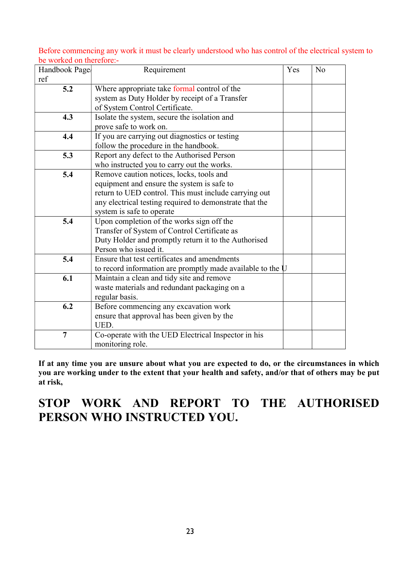Before commencing any work it must be clearly understood who has control of the electrical system to be worked on therefore:-

| Handbook Page  | Requirement                                                  | Yes | N <sub>o</sub> |
|----------------|--------------------------------------------------------------|-----|----------------|
| ref            |                                                              |     |                |
| 5.2            | Where appropriate take formal control of the                 |     |                |
|                | system as Duty Holder by receipt of a Transfer               |     |                |
|                | of System Control Certificate.                               |     |                |
| 4.3            | Isolate the system, secure the isolation and                 |     |                |
|                | prove safe to work on.                                       |     |                |
| 4.4            | If you are carrying out diagnostics or testing               |     |                |
|                | follow the procedure in the handbook.                        |     |                |
| 5.3            | Report any defect to the Authorised Person                   |     |                |
|                | who instructed you to carry out the works.                   |     |                |
| 5.4            | Remove caution notices, locks, tools and                     |     |                |
|                | equipment and ensure the system is safe to                   |     |                |
|                | return to UED control. This must include carrying out        |     |                |
|                | any electrical testing required to demonstrate that the      |     |                |
|                | system is safe to operate                                    |     |                |
| 5.4            | Upon completion of the works sign off the                    |     |                |
|                | Transfer of System of Control Certificate as                 |     |                |
|                | Duty Holder and promptly return it to the Authorised         |     |                |
|                | Person who issued it.                                        |     |                |
| 5.4            | Ensure that test certificates and amendments                 |     |                |
|                | to record information are promptly made available to the $U$ |     |                |
| 6.1            | Maintain a clean and tidy site and remove                    |     |                |
|                | waste materials and redundant packaging on a                 |     |                |
|                | regular basis.                                               |     |                |
| 6.2            | Before commencing any excavation work                        |     |                |
|                | ensure that approval has been given by the                   |     |                |
|                | UED.                                                         |     |                |
| $\overline{7}$ | Co-operate with the UED Electrical Inspector in his          |     |                |
|                | monitoring role.                                             |     |                |

If at any time you are unsure about what you are expected to do, or the circumstances in which you are working under to the extent that your health and safety, and/or that of others may be put at risk,

# STOP WORK AND REPORT TO THE AUTHORISED PERSON WHO INSTRUCTED YOU.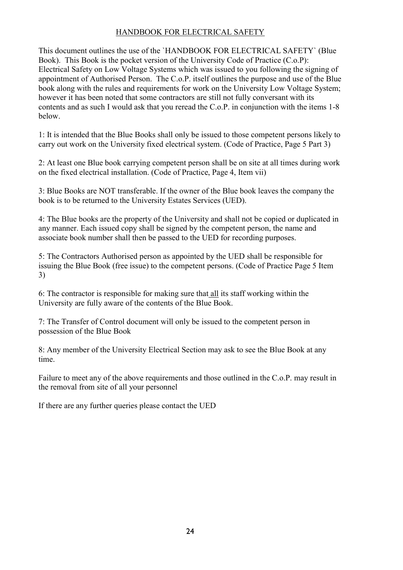# HANDBOOK FOR ELECTRICAL SAFETY

 below. This document outlines the use of the `HANDBOOK FOR ELECTRICAL SAFETY` (Blue Book). This Book is the pocket version of the University Code of Practice (C.o.P): Electrical Safety on Low Voltage Systems which was issued to you following the signing of appointment of Authorised Person. The C.o.P. itself outlines the purpose and use of the Blue book along with the rules and requirements for work on the University Low Voltage System; however it has been noted that some contractors are still not fully conversant with its contents and as such I would ask that you reread the C.o.P. in conjunction with the items 1-8

1: It is intended that the Blue Books shall only be issued to those competent persons likely to carry out work on the University fixed electrical system. (Code of Practice, Page 5 Part 3)

2: At least one Blue book carrying competent person shall be on site at all times during work on the fixed electrical installation. (Code of Practice, Page 4, Item vii)

3: Blue Books are NOT transferable. If the owner of the Blue book leaves the company the book is to be returned to the University Estates Services (UED).

4: The Blue books are the property of the University and shall not be copied or duplicated in any manner. Each issued copy shall be signed by the competent person, the name and associate book number shall then be passed to the UED for recording purposes.

5: The Contractors Authorised person as appointed by the UED shall be responsible for issuing the Blue Book (free issue) to the competent persons. (Code of Practice Page 5 Item 3)

6: The contractor is responsible for making sure that all its staff working within the University are fully aware of the contents of the Blue Book.

7: The Transfer of Control document will only be issued to the competent person in possession of the Blue Book

8: Any member of the University Electrical Section may ask to see the Blue Book at any time.

Failure to meet any of the above requirements and those outlined in the C.o.P. may result in the removal from site of all your personnel

If there are any further queries please contact the UED